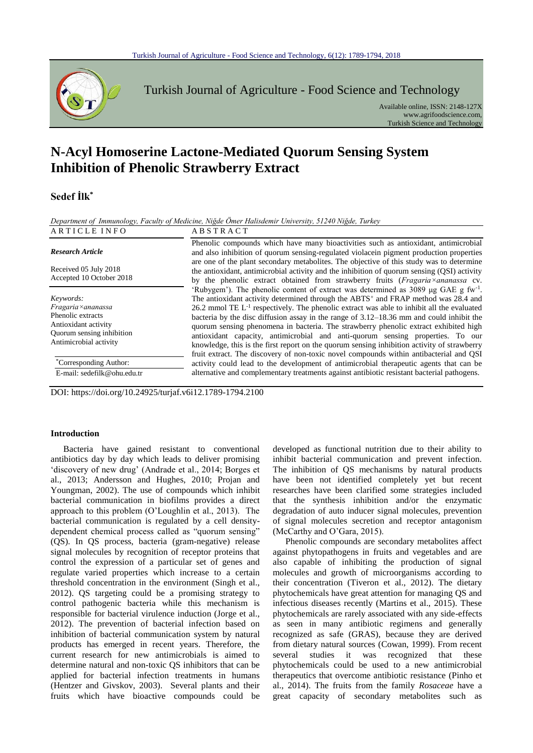

Turkish Journal of Agriculture - Food Science and Technology

Available online, ISSN: 2148-127X www.agrifoodscience.com, Turkish Science and Technology

# **N-Acyl Homoserine Lactone-Mediated Quorum Sensing System Inhibition of Phenolic Strawberry Extract**

## **Sedef İlk\***

*Department of Immunology, Faculty of Medicine, Niğde Ömer Halisdemir University, 51240 Niğde, Turkey*

#### A R T I C L E I N F O A B S T R A C T *Research Article* Received 05 July 2018 Accepted 10 October 2018 Phenolic compounds which have many bioactivities such as antioxidant, antimicrobial and also inhibition of quorum sensing-regulated violacein pigment production properties are one of the plant secondary metabolites. The objective of this study was to determine the antioxidant, antimicrobial activity and the inhibition of quorum sensing (QSI) activity by the phenolic extract obtained from strawberry fruits (*Fragaria×ananassa* cv. 'Rubygem'). The phenolic content of extract was determined as 3089 μg GAE g fw-1 . The antioxidant activity determined through the ABTS<sup>+</sup> and FRAP method was 28.4 and  $26.2$  mmol TE  $L^{-1}$  respectively. The phenolic extract was able to inhibit all the evaluated bacteria by the disc diffusion assay in the range of 3.12–18.36 mm and could inhibit the quorum sensing phenomena in bacteria. The strawberry phenolic extract exhibited high antioxidant capacity, antimicrobial and anti-quorum sensing properties. To our knowledge, this is the first report on the quorum sensing inhibition activity of strawberry fruit extract. The discovery of non-toxic novel compounds within antibacterial and QSI activity could lead to the development of antimicrobial therapeutic agents that can be alternative and complementary treatments against antibiotic resistant bacterial pathogens. *Keywords: Fragaria×ananassa* Phenolic extracts Antioxidant activity Quorum sensing inhibition Antimicrobial activity \*Corresponding Author: E-mail: sedefilk@ohu.edu.tr

DOI: https://doi.org/10.24925/turjaf.v6i12.1789-1794.2100

#### **Introduction**

Bacteria have gained resistant to conventional antibiotics day by day which leads to deliver promising 'discovery of new drug' (Andrade et al., 2014; Borges et al., 2013; Andersson and Hughes, 2010; Projan and Youngman, 2002). The use of compounds which inhibit bacterial communication in biofilms provides a direct approach to this problem (O'Loughlin et al., 2013). The bacterial communication is regulated by a cell densitydependent chemical process called as "quorum sensing" (QS). In QS process, bacteria (gram-negative) release signal molecules by recognition of receptor proteins that control the expression of a particular set of genes and regulate varied properties which increase to a certain threshold concentration in the environment (Singh et al., 2012). QS targeting could be a promising strategy to control pathogenic bacteria while this mechanism is responsible for bacterial virulence induction (Jorge et al., 2012). The prevention of bacterial infection based on inhibition of bacterial communication system by natural products has emerged in recent years. Therefore, the current research for new antimicrobials is aimed to determine natural and non-toxic QS inhibitors that can be applied for bacterial infection treatments in humans (Hentzer and Givskov, 2003). Several plants and their fruits which have bioactive compounds could be

developed as functional nutrition due to their ability to inhibit bacterial communication and prevent infection. The inhibition of QS mechanisms by natural products have been not identified completely yet but recent researches have been clarified some strategies included that the synthesis inhibition and/or the enzymatic degradation of auto inducer signal molecules, prevention of signal molecules secretion and receptor antagonism (McCarthy and O'Gara, 2015).

Phenolic compounds are secondary metabolites affect against phytopathogens in fruits and vegetables and are also capable of inhibiting the production of signal molecules and growth of microorganisms according to their concentration (Tiveron et al., 2012). The dietary phytochemicals have great attention for managing QS and infectious diseases recently (Martins et al., 2015). These phytochemicals are rarely associated with any side-effects as seen in many antibiotic regimens and generally recognized as safe (GRAS), because they are derived from dietary natural sources (Cowan, 1999). From recent several studies it was recognized that these phytochemicals could be used to a new antimicrobial therapeutics that overcome antibiotic resistance (Pinho et al., 2014). The fruits from the family *Rosaceae* have a great capacity of secondary metabolites such as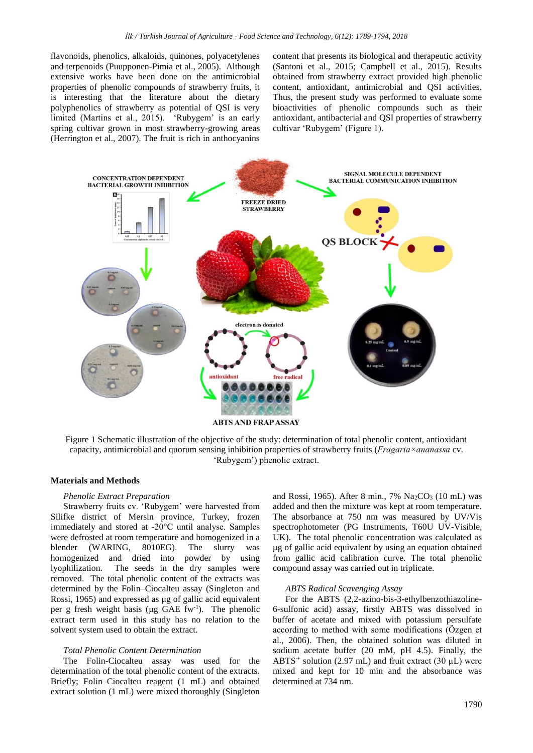flavonoids, phenolics, alkaloids, quinones, polyacetylenes and terpenoids (Puupponen-Pimia et al., 2005). Although extensive works have been done on the antimicrobial properties of phenolic compounds of strawberry fruits, it is interesting that the literature about the dietary polyphenolics of strawberry as potential of QSI is very limited (Martins et al., 2015). 'Rubygem' is an early spring cultivar grown in most strawberry-growing areas (Herrington et al., 2007). The fruit is rich in anthocyanins content that presents its biological and therapeutic activity (Santoni et al., 2015; Campbell et al., 2015). Results obtained from strawberry extract provided high phenolic content, antioxidant, antimicrobial and QSI activities. Thus, the present study was performed to evaluate some bioactivities of phenolic compounds such as their antioxidant, antibacterial and QSI properties of strawberry cultivar 'Rubygem' (Figure 1).



Figure 1 Schematic illustration of the objective of the study: determination of total phenolic content, antioxidant capacity, antimicrobial and quorum sensing inhibition properties of strawberry fruits (*Fragaria×ananassa* cv. 'Rubygem') phenolic extract.

#### **Materials and Methods**

#### *Phenolic Extract Preparation*

Strawberry fruits cv. 'Rubygem' were harvested from Silifke district of Mersin province, Turkey, frozen immediately and stored at -20°C until analyse. Samples were defrosted at room temperature and homogenized in a blender (WARING, 8010EG). The slurry was homogenized and dried into powder by using lyophilization. The seeds in the dry samples were removed. The total phenolic content of the extracts was determined by the Folin–Ciocalteu assay (Singleton and Rossi, 1965) and expressed as μg of gallic acid equivalent per g fresh weight basis ( $\mu$ g GAE fw<sup>-1</sup>). The phenolic extract term used in this study has no relation to the solvent system used to obtain the extract.

#### *Total Phenolic Content Determination*

The Folin-Ciocalteu assay was used for the determination of the total phenolic content of the extracts. Briefly; Folin–Ciocalteu reagent (1 mL) and obtained extract solution (1 mL) were mixed thoroughly (Singleton and Rossi, 1965). After 8 min., 7%  $Na<sub>2</sub>CO<sub>3</sub>$  (10 mL) was added and then the mixture was kept at room temperature. The absorbance at 750 nm was measured by UV/Vis spectrophotometer (PG Instruments, T60U UV-Visible, UK). The total phenolic concentration was calculated as μg of gallic acid equivalent by using an equation obtained from gallic acid calibration curve. The total phenolic compound assay was carried out in triplicate.

#### *ABTS Radical Scavenging Assay*

For the ABTS (2,2-azino-bis-3-ethylbenzothiazoline-6-sulfonic acid) assay, firstly ABTS was dissolved in buffer of acetate and mixed with potassium persulfate according to method with some modifications (Özgen et al., 2006). Then, the obtained solution was diluted in sodium acetate buffer (20 mM, pH 4.5). Finally, the ABTS<sup>+</sup> solution (2.97 mL) and fruit extract (30  $\mu$ L) were mixed and kept for 10 min and the absorbance was determined at 734 nm.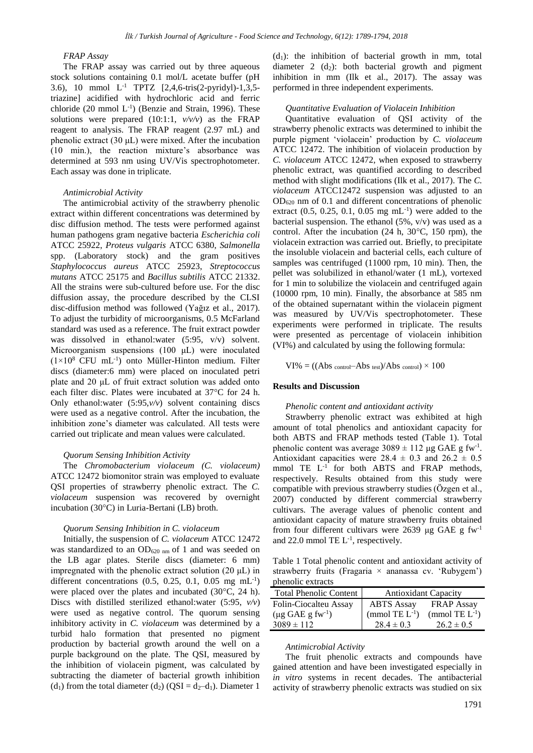### *FRAP Assay*

The FRAP assay was carried out by three aqueous stock solutions containing 0.1 mol/L acetate buffer (pH 3.6), 10 mmol L-1 TPTZ [2,4,6-tris(2-pyridyl)-1,3,5 triazine] acidified with hydrochloric acid and ferric chloride  $(20 \text{ mmol L}^{-1})$  (Benzie and Strain, 1996). These solutions were prepared (10:1:1, *v/v/v*) as the FRAP reagent to analysis. The FRAP reagent (2.97 mL) and phenolic extract (30 μL) were mixed. After the incubation (10 min.), the reaction mixture's absorbance was determined at 593 nm using UV/Vis spectrophotometer. Each assay was done in triplicate.

#### *Antimicrobial Activity*

The antimicrobial activity of the strawberry phenolic extract within different concentrations was determined by disc diffusion method. The tests were performed against human pathogens gram negative bacteria *Escherichia coli* ATCC 25922, *Proteus vulgaris* ATCC 6380, *Salmonella*  spp. (Laboratory stock) and the gram positives *Staphylococcus aureus* ATCC 25923, *Streptococcus mutans* ATCC 25175 and *Bacillus subtilis* ATCC 21332. All the strains were sub-cultured before use. For the disc diffusion assay, the procedure described by the CLSI disc-diffusion method was followed (Yağız et al., 2017). To adjust the turbidity of microorganisms, 0.5 McFarland standard was used as a reference. The fruit extract powder was dissolved in ethanol:water (5:95, v/v) solvent. Microorganism suspensions (100 μL) were inoculated  $(1\times10^8$  CFU mL<sup>-1</sup>) onto Müller-Hinton medium. Filter discs (diameter:6 mm) were placed on inoculated petri plate and 20 μL of fruit extract solution was added onto each filter disc. Plates were incubated at 37°C for 24 h. Only ethanol:water (5:95,*v/v*) solvent containing discs were used as a negative control. After the incubation, the inhibition zone's diameter was calculated. All tests were carried out triplicate and mean values were calculated.

#### *Quorum Sensing Inhibition Activity*

The *Chromobacterium violaceum (C. violaceum)*  ATCC 12472 biomonitor strain was employed to evaluate QSI properties of strawberry phenolic extract. The *C. violaceum* suspension was recovered by overnight incubation (30°C) in Luria-Bertani (LB) broth.

#### *Quorum Sensing Inhibition in C. violaceum*

Initially, the suspension of *C. violaceum* ATCC 12472 was standardized to an  $OD_{620 \text{ nm}}$  of 1 and was seeded on the LB agar plates. Sterile discs (diameter: 6 mm) impregnated with the phenolic extract solution (20 μL) in different concentrations  $(0.5, 0.25, 0.1, 0.05 \text{ mg} \text{ mL}^{-1})$ were placed over the plates and incubated (30°C, 24 h). Discs with distilled sterilized ethanol:water (5:95, *v/v*) were used as negative control. The quorum sensing inhibitory activity in *C. violaceum* was determined by a turbid halo formation that presented no pigment production by bacterial growth around the well on a purple background on the plate. The QSI, measured by the inhibition of violacein pigment, was calculated by subtracting the diameter of bacterial growth inhibition (d<sub>1</sub>) from the total diameter (d<sub>2</sub>) (QSI = d<sub>2</sub>-d<sub>1</sub>). Diameter 1

 $(d_1)$ : the inhibition of bacterial growth in mm, total diameter 2  $(d_2)$ : both bacterial growth and pigment inhibition in mm (Ilk et al., 2017). The assay was performed in three independent experiments.

#### *Quantitative Evaluation of Violacein Inhibition*

Quantitative evaluation of QSI activity of the strawberry phenolic extracts was determined to inhibit the purple pigment 'violacein' production by *C. violaceum* ATCC 12472. The inhibition of violacein production by *C. violaceum* ATCC 12472, when exposed to strawberry phenolic extract, was quantified according to described method with slight modifications (Ilk et al., 2017). The *C. violaceum* ATCC12472 suspension was adjusted to an  $OD_{620}$  nm of 0.1 and different concentrations of phenolic extract  $(0.5, 0.25, 0.1, 0.05 \text{ mg} \text{ mL}^{-1})$  were added to the bacterial suspension. The ethanol  $(5\%, v/v)$  was used as a control. After the incubation (24 h, 30°C, 150 rpm), the violacein extraction was carried out. Briefly, to precipitate the insoluble violacein and bacterial cells, each culture of samples was centrifuged (11000 rpm, 10 min). Then, the pellet was solubilized in ethanol/water (1 mL), vortexed for 1 min to solubilize the violacein and centrifuged again (10000 rpm, 10 min). Finally, the absorbance at 585 nm of the obtained supernatant within the violacein pigment was measured by UV/Vis spectrophotometer. These experiments were performed in triplicate. The results were presented as percentage of violacein inhibition (VI%) and calculated by using the following formula:

 $VI\% = ((Abs_{control} - Abs_{test})/Abs_{control}) \times 100$ 

#### **Results and Discussion**

#### *Phenolic content and antioxidant activity*

Strawberry phenolic extract was exhibited at high amount of total phenolics and antioxidant capacity for both ABTS and FRAP methods tested (Table 1). Total phenolic content was average  $3089 \pm 112 \,\mu g$  GAE g fw<sup>-1</sup>. Antioxidant capacities were  $28.4 \pm 0.3$  and  $26.2 \pm 0.5$ mmol TE L<sup>-1</sup> for both ABTS and FRAP methods, respectively. Results obtained from this study were compatible with previous strawberry studies (Özgen et al., 2007) conducted by different commercial strawberry cultivars. The average values of phenolic content and antioxidant capacity of mature strawberry fruits obtained from four different cultivars were 2639 μg GAE g  $fw^{-1}$ and 22.0 mmol TE  $L^{-1}$ , respectively.

Table 1 Total phenolic content and antioxidant activity of strawberry fruits (Fragaria × ananassa cv. 'Rubygem') phenolic extracts

| <b>Total Phenolic Content</b>            | <b>Antioxidant Capacity</b> |                     |
|------------------------------------------|-----------------------------|---------------------|
| Folin-Ciocalteu Assay                    | <b>ABTS</b> Assay           | <b>FRAP Assay</b>   |
| $(\mu g \text{ GAE } g \text{ fw}^{-1})$ | (mmol TE $L^{-1}$ )         | (mmol TE $L^{-1}$ ) |
| $3089 \pm 112$                           | $28.4 \pm 0.3$              | $26.2 \pm 0.5$      |

#### *Antimicrobial Activity*

The fruit phenolic extracts and compounds have gained attention and have been investigated especially in *in vitro* systems in recent decades. The antibacterial activity of strawberry phenolic extracts was studied on six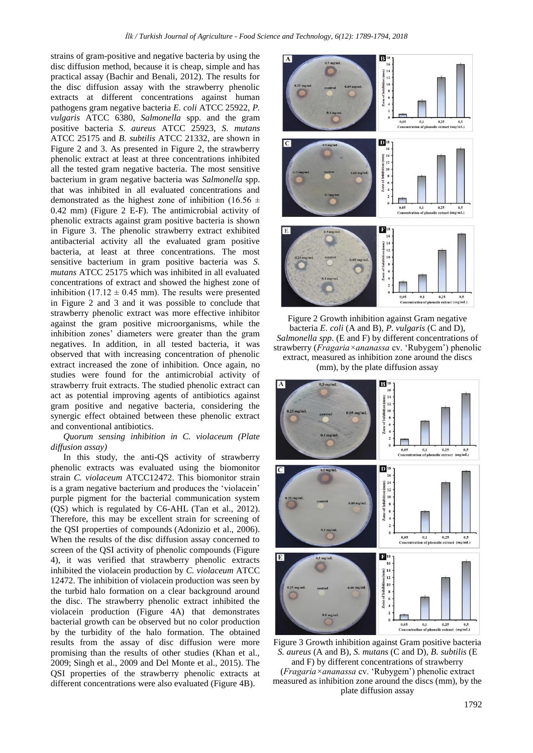strains of gram-positive and negative bacteria by using the disc diffusion method, because it is cheap, simple and has practical assay (Bachir and Benali, 2012). The results for the disc diffusion assay with the strawberry phenolic extracts at different concentrations against human pathogens gram negative bacteria *E. coli* ATCC 25922, *P. vulgaris* ATCC 6380, *Salmonella* spp. and the gram positive bacteria *S. aureus* ATCC 25923, *S. mutans* ATCC 25175 and *B. subtilis* ATCC 21332, are shown in Figure 2 and 3. As presented in Figure 2, the strawberry phenolic extract at least at three concentrations inhibited all the tested gram negative bacteria. The most sensitive bacterium in gram negative bacteria was *Salmonella* spp. that was inhibited in all evaluated concentrations and demonstrated as the highest zone of inhibition (16.56  $\pm$ 0.42 mm) (Figure 2 E-F). The antimicrobial activity of phenolic extracts against gram positive bacteria is shown in Figure 3. The phenolic strawberry extract exhibited antibacterial activity all the evaluated gram positive bacteria, at least at three concentrations. The most sensitive bacterium in gram positive bacteria was *S. mutans* ATCC 25175 which was inhibited in all evaluated concentrations of extract and showed the highest zone of inhibition (17.12  $\pm$  0.45 mm). The results were presented in Figure 2 and 3 and it was possible to conclude that strawberry phenolic extract was more effective inhibitor against the gram positive microorganisms, while the inhibition zones' diameters were greater than the gram negatives. In addition, in all tested bacteria, it was observed that with increasing concentration of phenolic extract increased the zone of inhibition. Once again, no studies were found for the antimicrobial activity of strawberry fruit extracts. The studied phenolic extract can act as potential improving agents of antibiotics against gram positive and negative bacteria, considering the synergic effect obtained between these phenolic extract and conventional antibiotics.

#### *Quorum sensing inhibition in C. violaceum (Plate diffusion assay)*

In this study, the anti-QS activity of strawberry phenolic extracts was evaluated using the biomonitor strain *C. violaceum* ATCC12472. This biomonitor strain is a gram negative bacterium and produces the 'violacein' purple pigment for the bacterial communication system (QS) which is regulated by C6-AHL (Tan et al., 2012). Therefore, this may be excellent strain for screening of the QSI properties of compounds (Adonizio et al., 2006). When the results of the disc diffusion assay concerned to screen of the QSI activity of phenolic compounds (Figure 4), it was verified that strawberry phenolic extracts inhibited the violacein production by *C. violaceum* ATCC 12472. The inhibition of violacein production was seen by the turbid halo formation on a clear background around the disc. The strawberry phenolic extract inhibited the violacein production (Figure 4A) that demonstrates bacterial growth can be observed but no color production by the turbidity of the halo formation. The obtained results from the assay of disc diffusion were more promising than the results of other studies (Khan et al., 2009; Singh et al., 2009 and Del Monte et al., 2015). The QSI properties of the strawberry phenolic extracts at different concentrations were also evaluated (Figure 4B).



Figure 2 Growth inhibition against Gram negative bacteria *E. coli* (A and B), *P. vulgaris* (C and D), *Salmonella spp*. (E and F) by different concentrations of strawberry (*Fragaria×ananassa* cv. 'Rubygem') phenolic extract, measured as inhibition zone around the discs (mm), by the plate diffusion assay



Figure 3 Growth inhibition against Gram positive bacteria *S. aureus* (A and B), *S. mutans* (C and D), *B. subtilis* (E and F) by different concentrations of strawberry (*Fragaria×ananassa* cv. 'Rubygem') phenolic extract measured as inhibition zone around the discs (mm), by the plate diffusion assay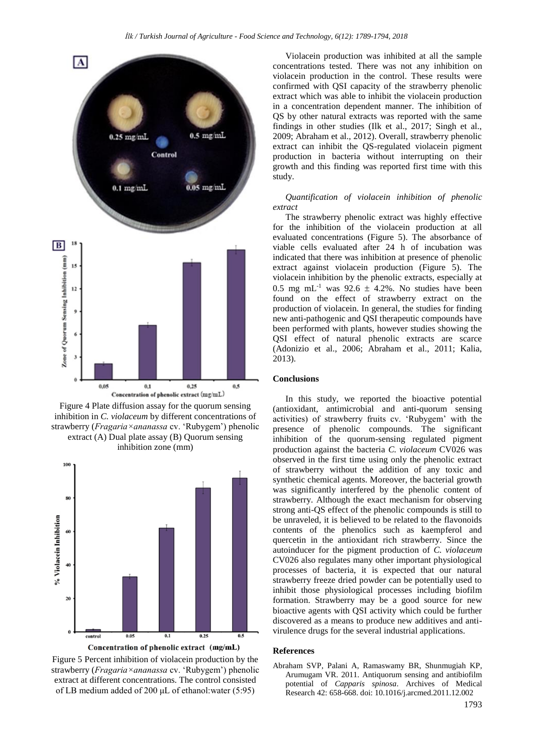







Figure 5 Percent inhibition of violacein production by the strawberry (*Fragaria×ananassa* cv. 'Rubygem') phenolic extract at different concentrations. The control consisted of LB medium added of 200 μL of ethanol:water (5:95)

Violacein production was inhibited at all the sample concentrations tested. There was not any inhibition on violacein production in the control. These results were confirmed with QSI capacity of the strawberry phenolic extract which was able to inhibit the violacein production in a concentration dependent manner. The inhibition of QS by other natural extracts was reported with the same findings in other studies (Ilk et al., 2017; Singh et al., 2009; Abraham et al., 2012). Overall, strawberry phenolic extract can inhibit the QS-regulated violacein pigment production in bacteria without interrupting on their growth and this finding was reported first time with this study.

*Quantification of violacein inhibition of phenolic extract*

The strawberry phenolic extract was highly effective for the inhibition of the violacein production at all evaluated concentrations (Figure 5). The absorbance of viable cells evaluated after 24 h of incubation was indicated that there was inhibition at presence of phenolic extract against violacein production (Figure 5). The violacein inhibition by the phenolic extracts, especially at 0.5 mg mL<sup>-1</sup> was 92.6  $\pm$  4.2%. No studies have been found on the effect of strawberry extract on the production of violacein. In general, the studies for finding new anti-pathogenic and QSI therapeutic compounds have been performed with plants, however studies showing the QSI effect of natural phenolic extracts are scarce (Adonizio et al., 2006; Abraham et al., 2011; Kalia, 2013).

#### **Conclusions**

In this study, we reported the bioactive potential (antioxidant, antimicrobial and anti-quorum sensing activities) of strawberry fruits cv. 'Rubygem' with the presence of phenolic compounds. The significant inhibition of the quorum-sensing regulated pigment production against the bacteria *C. violaceum* CV026 was observed in the first time using only the phenolic extract of strawberry without the addition of any toxic and synthetic chemical agents. Moreover, the bacterial growth was significantly interfered by the phenolic content of strawberry. Although the exact mechanism for observing strong anti-QS effect of the phenolic compounds is still to be unraveled, it is believed to be related to the flavonoids contents of the phenolics such as kaempferol and quercetin in the antioxidant rich strawberry. Since the autoinducer for the pigment production of *C. violaceum* CV026 also regulates many other important physiological processes of bacteria, it is expected that our natural strawberry freeze dried powder can be potentially used to inhibit those physiological processes including biofilm formation. Strawberry may be a good source for new bioactive agents with QSI activity which could be further discovered as a means to produce new additives and antivirulence drugs for the several industrial applications.

#### **References**

Abraham SVP, Palani A, Ramaswamy BR, Shunmugiah KP, Arumugam VR. 2011. Antiquorum sensing and antibiofilm potential of *Capparis spinosa*. Archives of Medical Research 42: 658-668. doi: 10.1016/j.arcmed.2011.12.002